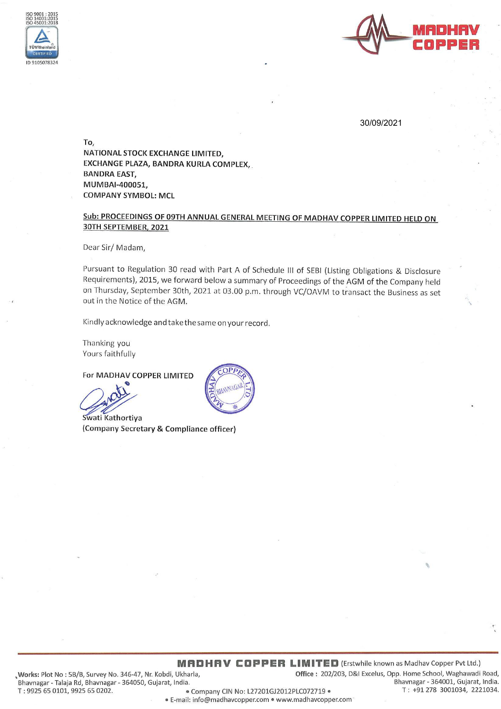



30/09/2021

To. NATIONAL STOCK EXCHANGE LIMITED, EXCHANGE PLAZA, BANDRA KURLA COMPLEX, **BANDRA EAST,** MUMBAI-400051, **COMPANY SYMBOL: MCL** 

Sub: PROCEEDINGS OF 09TH ANNUAL GENERAL MEETING OF MADHAV COPPER LIMITED HELD ON 30TH SEPTEMBER, 2021

Dear Sir/Madam,

Pursuant to Regulation 30 read with Part A of Schedule III of SEBI (Listing Obligations & Disclosure Requirements), 2015, we forward below a summary of Proceedings of the AGM of the Company held on Thursday, September 30th, 2021 at 03.00 p.m. through VC/OAVM to transact the Business as set out in the Notice of the AGM.

Kindly acknowledge and take the same on your record.

Thanking you Yours faithfully

For MADHAV COPPER LIMITED

Swati Kathortiya (Company Secretary & Compliance officer)

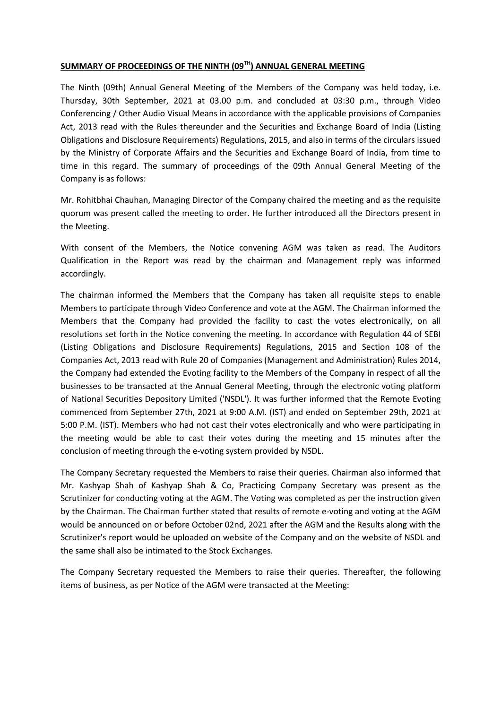## **SUMMARY OF PROCEEDINGS OF THE NINTH (09TH) ANNUAL GENERAL MEETING**

The Ninth (09th) Annual General Meeting of the Members of the Company was held today, i.e. Thursday, 30th September, 2021 at 03.00 p.m. and concluded at 03:30 p.m., through Video Conferencing / Other Audio Visual Means in accordance with the applicable provisions of Companies Act, 2013 read with the Rules thereunder and the Securities and Exchange Board of India (Listing Obligations and Disclosure Requirements) Regulations, 2015, and also in terms of the circulars issued by the Ministry of Corporate Affairs and the Securities and Exchange Board of India, from time to time in this regard. The summary of proceedings of the 09th Annual General Meeting of the Company is as follows:

Mr. Rohitbhai Chauhan, Managing Director of the Company chaired the meeting and as the requisite quorum was present called the meeting to order. He further introduced all the Directors present in the Meeting.

With consent of the Members, the Notice convening AGM was taken as read. The Auditors Qualification in the Report was read by the chairman and Management reply was informed accordingly.

The chairman informed the Members that the Company has taken all requisite steps to enable Members to participate through Video Conference and vote at the AGM. The Chairman informed the Members that the Company had provided the facility to cast the votes electronically, on all resolutions set forth in the Notice convening the meeting. In accordance with Regulation 44 of SEBI (Listing Obligations and Disclosure Requirements) Regulations, 2015 and Section 108 of the Companies Act, 2013 read with Rule 20 of Companies (Management and Administration) Rules 2014, the Company had extended the Evoting facility to the Members of the Company in respect of all the businesses to be transacted at the Annual General Meeting, through the electronic voting platform of National Securities Depository Limited ('NSDL'). It was further informed that the Remote Evoting commenced from September 27th, 2021 at 9:00 A.M. (IST) and ended on September 29th, 2021 at 5:00 P.M. (IST). Members who had not cast their votes electronically and who were participating in the meeting would be able to cast their votes during the meeting and 15 minutes after the conclusion of meeting through the e-voting system provided by NSDL.

The Company Secretary requested the Members to raise their queries. Chairman also informed that Mr. Kashyap Shah of Kashyap Shah & Co, Practicing Company Secretary was present as the Scrutinizer for conducting voting at the AGM. The Voting was completed as per the instruction given by the Chairman. The Chairman further stated that results of remote e-voting and voting at the AGM would be announced on or before October 02nd, 2021 after the AGM and the Results along with the Scrutinizer's report would be uploaded on website of the Company and on the website of NSDL and the same shall also be intimated to the Stock Exchanges.

The Company Secretary requested the Members to raise their queries. Thereafter, the following items of business, as per Notice of the AGM were transacted at the Meeting: